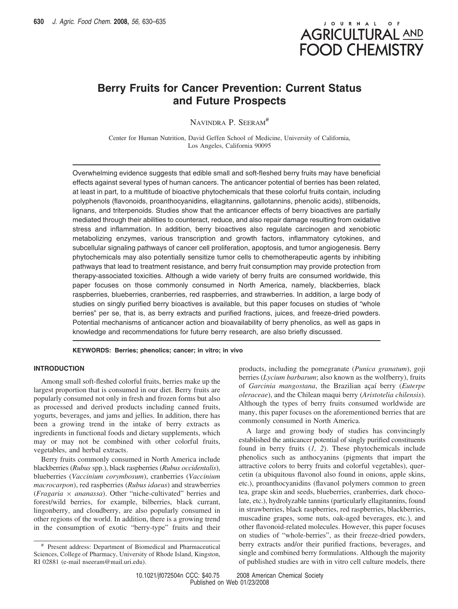

# **Berry Fruits for Cancer Prevention: Current Status and Future Prospects**

NAVINDRA P. SEERAM<sup>#</sup>

Center for Human Nutrition, David Geffen School of Medicine, University of California, Los Angeles, California 90095

Overwhelming evidence suggests that edible small and soft-fleshed berry fruits may have beneficial effects against several types of human cancers. The anticancer potential of berries has been related, at least in part, to a multitude of bioactive phytochemicals that these colorful fruits contain, including polyphenols (flavonoids, proanthocyanidins, ellagitannins, gallotannins, phenolic acids), stilbenoids, lignans, and triterpenoids. Studies show that the anticancer effects of berry bioactives are partially mediated through their abilities to counteract, reduce, and also repair damage resulting from oxidative stress and inflammation. In addition, berry bioactives also regulate carcinogen and xenobiotic metabolizing enzymes, various transcription and growth factors, inflammatory cytokines, and subcellular signaling pathways of cancer cell proliferation, apoptosis, and tumor angiogenesis. Berry phytochemicals may also potentially sensitize tumor cells to chemotherapeutic agents by inhibiting pathways that lead to treatment resistance, and berry fruit consumption may provide protection from therapy-associated toxicities. Although a wide variety of berry fruits are consumed worldwide, this paper focuses on those commonly consumed in North America, namely, blackberries, black raspberries, blueberries, cranberries, red raspberries, and strawberries. In addition, a large body of studies on singly purified berry bioactives is available, but this paper focuses on studies of "whole berries" per se, that is, as berry extracts and purified fractions, juices, and freeze-dried powders. Potential mechanisms of anticancer action and bioavailability of berry phenolics, as well as gaps in knowledge and recommendations for future berry research, are also briefly discussed.

**KEYWORDS: Berries; phenolics; cancer; in vitro; in vivo**

## **INTRODUCTION**

Among small soft-fleshed colorful fruits, berries make up the largest proportion that is consumed in our diet. Berry fruits are popularly consumed not only in fresh and frozen forms but also as processed and derived products including canned fruits, yogurts, beverages, and jams and jellies. In addition, there has been a growing trend in the intake of berry extracts as ingredients in functional foods and dietary supplements, which may or may not be combined with other colorful fruits, vegetables, and herbal extracts.

Berry fruits commonly consumed in North America include blackberries (*Rubus* spp.), black raspberries (*Rubus occidentalis*), blueberries (*Vaccinium corymbosum*), cranberries (*Vaccinium macrocarpon*), red raspberries (*Rubus idaeus*) and strawberries (*Fragaria* × *ananassa*). Other "niche-cultivated" berries and forest/wild berries, for example, bilberries, black currant, lingonberry, and cloudberry, are also popularly consumed in other regions of the world. In addition, there is a growing trend in the consumption of exotic "berry-type" fruits and their

products, including the pomegranate (*Punica granatum*), goji berries (*Lycium barbarum*; also known as the wolfberry), fruits of *Garcinia mangostana*, the Brazilian açaí berry (*Euterpe oleraceae*), and the Chilean maqui berry (*Aristotelia chilensis*). Although the types of berry fruits consumed worldwide are many, this paper focuses on the aforementioned berries that are commonly consumed in North America.

A large and growing body of studies has convincingly established the anticancer potential of singly purified constituents found in berry fruits (*1, 2*). These phytochemicals include phenolics such as anthocyanins (pigments that impart the attractive colors to berry fruits and colorful vegetables), quercetin (a ubiquitous flavonol also found in onions, apple skins, etc.), proanthocyanidins (flavanol polymers common to green tea, grape skin and seeds, blueberries, cranberries, dark chocolate, etc.), hydrolyzable tannins (particularly ellagitannins, found in strawberries, black raspberries, red raspberries, blackberries, muscadine grapes, some nuts, oak-aged beverages, etc.), and other flavonoid-related molecules. However, this paper focuses on studies of "whole-berries", as their freeze-dried powders, berry extracts and/or their purified fractions, beverages, and single and combined berry formulations. Although the majority of published studies are with in vitro cell culture models, there

<sup>#</sup> Present address: Department of Biomedical and Pharmaceutical Sciences, College of Pharmacy, University of Rhode Island, Kingston, RI 02881 (e-mail nseeram@mail.uri.edu).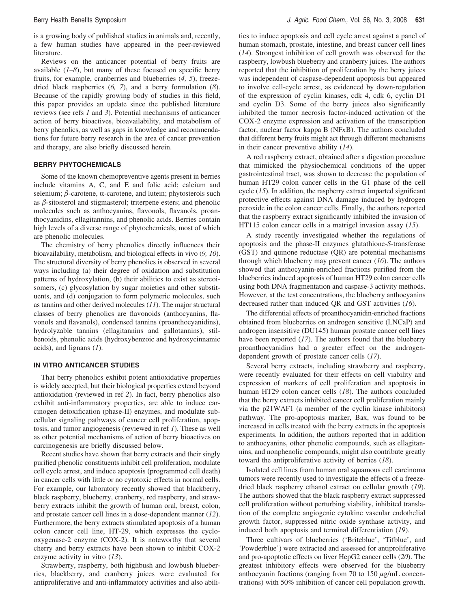is a growing body of published studies in animals and, recently, a few human studies have appeared in the peer-reviewed literature.

Reviews on the anticancer potential of berry fruits are available (*1–8*), but many of these focused on specific berry fruits, for example, cranberries and blueberries (*4, 5*), freezedried black raspberries (*6, 7*), and a berry formulation (*8*). Because of the rapidly growing body of studies in this field, this paper provides an update since the published literature reviews (see refs *1* and *3*). Potential mechanisms of anticancer action of berry bioactives, bioavailability, and metabolism of berry phenolics, as well as gaps in knowledge and recommendations for future berry research in the area of cancer prevention and therapy, are also briefly discussed herein.

### **BERRY PHYTOCHEMICALS**

Some of the known chemopreventive agents present in berries include vitamins A, C, and E and folic acid; calcium and selenium;  $\beta$ -carotene,  $\alpha$ -carotene, and lutein; phytosterols such as  $\beta$ -sitosterol and stigmasterol; triterpene esters; and phenolic molecules such as anthocyanins, flavonols, flavanols, proanthocyanidins, ellagitannins, and phenolic acids. Berries contain high levels of a diverse range of phytochemicals, most of which are phenolic molecules.

The chemistry of berry phenolics directly influences their bioavailability, metabolism, and biological effects in vivo (*9, 10*). The structural diversity of berry phenolics is observed in several ways including (a) their degree of oxidation and substitution patterns of hydroxylation, (b) their abilities to exist as stereoisomers, (c) glycosylation by sugar moieties and other substituents, and (d) conjugation to form polymeric molecules, such as tannins and other derived molecules (*11*). The major structural classes of berry phenolics are flavonoids (anthocyanins, flavonols and flavanols), condensed tannins (proanthocyanidins), hydrolyzable tannins (ellagitannins and gallotannins), stilbenoids, phenolic acids (hydroxybenzoic and hydroxycinnamic acids), and lignans (*1*).

### **IN VITRO ANTICANCER STUDIES**

That berry phenolics exhibit potent antioxidative properties is widely accepted, but their biological properties extend beyond antioxidation (reviewed in ref *2*). In fact, berry phenolics also exhibit anti-inflammatory properties, are able to induce carcinogen detoxification (phase-II) enzymes, and modulate subcellular signaling pathways of cancer cell proliferation, apoptosis, and tumor angiogenesis (reviewed in ref *1*). These as well as other potential mechanisms of action of berry bioactives on carcinogenesis are briefly discussed below.

Recent studies have shown that berry extracts and their singly purified phenolic constituents inhibit cell proliferation, modulate cell cycle arrest, and induce apoptosis (programmed cell death) in cancer cells with little or no cytotoxic effects in normal cells. For example, our laboratory recently showed that blackberry, black raspberry, blueberry, cranberry, red raspberry, and strawberry extracts inhibit the growth of human oral, breast, colon, and prostate cancer cell lines in a dose-dependent manner (*12*). Furthermore, the berry extracts stimulated apoptosis of a human colon cancer cell line, HT-29, which expresses the cyclooxygenase-2 enzyme (COX-2). It is noteworthy that several cherry and berry extracts have been shown to inhibit COX-2 enzyme activity in vitro (*13*).

Strawberry, raspberry, both highbush and lowbush blueberries, blackberry, and cranberry juices were evaluated for antiproliferative and anti-inflammatory activities and also abilities to induce apoptosis and cell cycle arrest against a panel of human stomach, prostate, intestine, and breast cancer cell lines (*14*). Strongest inhibition of cell growth was observed for the raspberry, lowbush blueberry and cranberry juices. The authors reported that the inhibition of proliferation by the berry juices was independent of caspase-dependent apoptosis but appeared to involve cell-cycle arrest, as evidenced by down-regulation of the expression of cyclin kinases, cdk 4, cdk 6, cyclin D1 and cyclin D3. Some of the berry juices also significantly inhibited the tumor necrosis factor-induced activation of the COX-2 enzyme expression and activation of the transcription factor, nuclear factor kappa B (NF*κ*B). The authors concluded that different berry fruits might act through different mechanisms in their cancer preventive ability (*14*).

A red raspberry extract, obtained after a digestion procedure that mimicked the physiochemical conditions of the upper gastrointestinal tract, was shown to decrease the population of human HT29 colon cancer cells in the G1 phase of the cell cycle (*15*). In addition, the raspberry extract imparted significant protective effects against DNA damage induced by hydrogen peroxide in the colon cancer cells. Finally, the authors reported that the raspberry extract significantly inhibited the invasion of HT115 colon cancer cells in a matrigel invasion assay (*15*).

A study recently investigated whether the regulations of apoptosis and the phase-II enzymes glutathione-*S*-transferase (GST) and quinone reductase (QR) are potential mechanisms through which blueberry may prevent cancer (*16*). The authors showed that anthocyanin-enriched fractions purified from the blueberries induced apoptosis of human HT29 colon cancer cells using both DNA fragmentation and caspase-3 activity methods. However, at the test concentrations, the blueberry anthocyanins decreased rather than induced QR and GST activities (*16*).

The differential effects of proanthocyanidin-enriched fractions obtained from blueberries on androgen sensitive (LNCaP) and androgen insensitive (DU145) human prostate cancer cell lines have been reported (*17*). The authors found that the blueberry proanthocyanidins had a greater effect on the androgendependent growth of prostate cancer cells (*17*).

Several berry extracts, including strawberry and raspberry, were recently evaluated for their effects on cell viability and expression of markers of cell proliferation and apoptosis in human HT29 colon cancer cells (*18*). The authors concluded that the berry extracts inhibited cancer cell proliferation mainly via the p21WAF1 (a member of the cyclin kinase inhibitors) pathway. The pro-apoptosis marker, Bax, was found to be increased in cells treated with the berry extracts in the apoptosis experiments. In addition, the authors reported that in addition to anthocyanins, other phenolic compounds, such as ellagitannins, and nonphenolic compounds, might also contribute greatly toward the antiproliferative activity of berries (*18*).

Isolated cell lines from human oral squamous cell carcinoma tumors were recently used to investigate the effects of a freezedried black raspberry ethanol extract on cellular growth (*19*). The authors showed that the black raspberry extract suppressed cell proliferation without perturbing viability, inhibited translation of the complete angiogenic cytokine vascular endothelial growth factor, suppressed nitric oxide synthase activity, and induced both apoptosis and terminal differentiation (*19*).

Three cultivars of blueberries ('Briteblue', 'Tifblue', and 'Powderblue') were extracted and assessed for antiproliferative and pro-apoptotic effects on liver HepG2 cancer cells (*20*). The greatest inhibitory effects were observed for the blueberry anthocyanin fractions (ranging from 70 to 150 *µ*g/mL concentrations) with 50% inhibition of cancer cell population growth.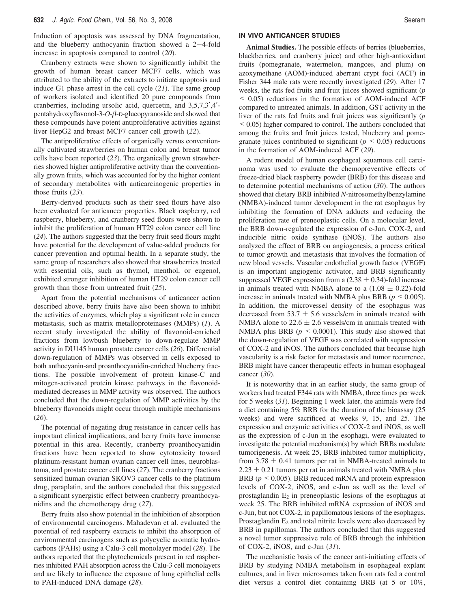Induction of apoptosis was assessed by DNA fragmentation, and the blueberry anthocyanin fraction showed a  $2-4$ -fold increase in apoptosis compared to control (*20*).

Cranberry extracts were shown to significantly inhibit the growth of human breast cancer MCF7 cells, which was attributed to the ability of the extracts to initiate apoptosis and induce G1 phase arrest in the cell cycle (*21*). The same group of workers isolated and identified 20 pure compounds from cranberries, including ursolic acid, quercetin, and 3,5,7,3′,4′ pentahydroxyflavonol-3-O- $\beta$ -D-glucopyranoside and showed that these compounds have potent antiproliferative activities against liver HepG2 and breast MCF7 cancer cell growth (*22*).

The antiproliferative effects of organically versus conventionally cultivated strawberries on human colon and breast tumor cells have been reported (*23*). The organically grown strawberries showed higher antiproliferative activity than the conventionally grown fruits, which was accounted for by the higher content of secondary metabolites with anticarcinogenic properties in those fruits (*23*).

Berry-derived products such as their seed flours have also been evaluated for anticancer properties. Black raspberry, red raspberry, blueberry, and cranberry seed flours were shown to inhibit the proliferation of human HT29 colon cancer cell line (*24*). The authors suggested that the berry fruit seed flours might have potential for the development of value-added products for cancer prevention and optimal health. In a separate study, the same group of researchers also showed that strawberries treated with essential oils, such as thymol, menthol, or eugenol, exhibited stronger inhibition of human HT29 colon cancer cell growth than those from untreated fruit (*25*).

Apart from the potential mechanisms of anticancer action described above, berry fruits have also been shown to inhibit the activities of enzymes, which play a significant role in cancer metastasis, such as matrix metalloproteinases (MMPs) (*1*). A recent study investigated the ability of flavonoid-enriched fractions from lowbush blueberry to down-regulate MMP activity in DU145 human prostate cancer cells (*26*). Differential down-regulation of MMPs was observed in cells exposed to both anthocyanin-and proanthocyanidin-enriched blueberry fractions. The possible involvement of protein kinase-C and mitogen-activated protein kinase pathways in the flavonoidmediated decreases in MMP activity was observed. The authors concluded that the down-regulation of MMP activities by the blueberry flavonoids might occur through multiple mechanisms (*26*).

The potential of negating drug resistance in cancer cells has important clinical implications, and berry fruits have immense potential in this area. Recently, cranberry proanthocyanidin fractions have been reported to show cytotoxicity toward platinum-resistant human ovarian cancer cell lines, neuroblastoma, and prostate cancer cell lines (*27*). The cranberry fractions sensitized human ovarian SKOV3 cancer cells to the platinum drug, paraplatin, and the authors concluded that this suggested a significant synergistic effect between cranberry proanthocyanidins and the chemotherapy drug (*27*).

Berry fruits also show potential in the inhibition of absorption of environmental carcinogens. Mahadevan et al. evaluated the potential of red raspberry extracts to inhibit the absorption of environmental carcinogens such as polycyclic aromatic hydrocarbons (PAHs) using a Calu-3 cell monolayer model (*28*). The authors reported that the phytochemicals present in red raspberries inhibited PAH absorption across the Calu-3 cell monolayers and are likely to influence the exposure of lung epithelial cells to PAH-induced DNA damage (*28*).

### **IN VIVO ANTICANCER STUDIES**

**Animal Studies.** The possible effects of berries (blueberries, blackberries, and cranberry juice) and other high-antioxidant fruits (pomegranate, watermelon, mangoes, and plum) on azoxymethane (AOM)-induced aberrant crypt foci (ACF) in Fisher 344 male rats were recently investigated (*29*). After 17 weeks, the rats fed fruits and fruit juices showed significant (*p* < 0.05) reductions in the formation of AOM-induced ACF compared to untreated animals. In addition, GST activity in the liver of the rats fed fruits and fruit juices was significantly (*p* < 0.05) higher compared to control. The authors concluded that among the fruits and fruit juices tested, blueberry and pomegranate juices contributed to significant ( $p \leq 0.05$ ) reductions in the formation of AOM-induced ACF (*29*).

A rodent model of human esophageal squamous cell carcinoma was used to evaluate the chemopreventive effects of freeze-dried black raspberry powder (BRB) for this disease and to determine potential mechanisms of action (*30*). The authors showed that dietary BRB inhibited *N*-nitrosomethylbenzylamine (NMBA)-induced tumor development in the rat esophagus by inhibiting the formation of DNA adducts and reducing the proliferation rate of preneoplastic cells. On a molecular level, the BRB down-regulated the expression of c-Jun, COX-2, and inducible nitric oxide synthase (iNOS). The authors also analyzed the effect of BRB on angiogenesis, a process critical to tumor growth and metastasis that involves the formation of new blood vessels. Vascular endothelial growth factor (VEGF) is an important angiogenic activator, and BRB significantly suppressed VEGF expression from a  $(2.38 \pm 0.34)$ -fold increase in animals treated with NMBA alone to a  $(1.08 \pm 0.22)$ -fold increase in animals treated with NMBA plus BRB ( $p \le 0.005$ ). In addition, the microvessel density of the esophagus was decreased from 53.7  $\pm$  5.6 vessels/cm in animals treated with NMBA alone to  $22.6 \pm 2.6$  vessels/cm in animals treated with NMBA plus BRB  $(p \le 0.0001)$ . This study also showed that the down-regulation of VEGF was correlated with suppression of COX-2 and iNOS. The authors concluded that because high vascularity is a risk factor for metastasis and tumor recurrence, BRB might have cancer therapeutic effects in human esophageal cancer (*30*).

It is noteworthy that in an earlier study, the same group of workers had treated F344 rats with NMBA, three times per week for 5 weeks (*31*). Beginning 1 week later, the animals were fed a diet containing 5% BRB for the duration of the bioassay (25 weeks) and were sacrificed at weeks 9, 15, and 25. The expression and enzymic activities of COX-2 and iNOS, as well as the expression of c-Jun in the esophagi, were evaluated to investigate the potential mechanism(s) by which BRBs modulate tumorigenesis. At week 25, BRB inhibited tumor multiplicity, from  $3.78 \pm 0.41$  tumors per rat in NMBA-treated animals to  $2.23 \pm 0.21$  tumors per rat in animals treated with NMBA plus BRB ( $p \le 0.005$ ). BRB reduced mRNA and protein expression levels of COX-2, iNOS, and c-Jun as well as the level of prostaglandin  $E_2$  in preneoplastic lesions of the esophagus at week 25. The BRB inhibited mRNA expression of iNOS and c-Jun, but not COX-2, in papillomatous lesions of the esophagus. Prostaglandin  $E_2$  and total nitrite levels were also decreased by BRB in papillomas. The authors concluded that this suggested a novel tumor suppressive role of BRB through the inhibition of COX-2, iNOS, and c-Jun (*31*).

The mechanistic basis of the cancer anti-initiating effects of BRB by studying NMBA metabolism in esophageal explant cultures, and in liver microsomes taken from rats fed a control diet versus a control diet containing BRB (at 5 or 10%,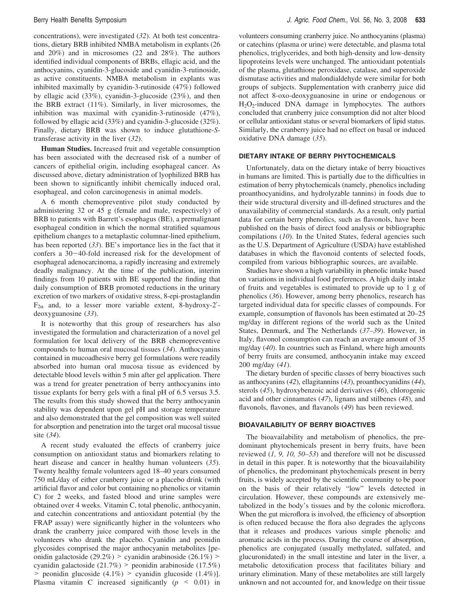concentrations), were investigated (*32*). At both test concentrations, dietary BRB inhibited NMBA metabolism in explants (26 and 20%) and in microsomes (22 and 28%). The authors identified individual components of BRBs, ellagic acid, and the anthocyanins, cyanidin-3-glucoside and cyanidin-3-rutinoside, as active constituents. NMBA metabolism in explants was inhibited maximally by cyanidin-3-rutinoside (47%) followed by ellagic acid (33%), cyanidin-3-glucoside (23%), and then the BRB extract (11%). Similarly, in liver microsomes, the inhibition was maximal with cyanidin-3-rutinoside (47%), followed by ellagic acid (33%) and cyanidin-3-glucoside (32%). Finally, dietary BRB was shown to induce glutathione-*S*transferase activity in the liver (*32*).

**Human Studies.** Increased fruit and vegetable consumption has been associated with the decreased risk of a number of cancers of epithelial origin, including esophageal cancer. As discussed above, dietary administration of lyophilized BRB has been shown to significantly inhibit chemically induced oral, esophageal, and colon carcinogenesis in animal models.

A 6 month chemopreventive pilot study conducted by administering 32 or 45 g (female and male, respectively) of BRB to patients with Barrett's esophagus (BE), a premalignant esophageal condition in which the normal stratified squamous epithelium changes to a metaplastic columnar-lined epithelium, has been reported (*33*). BE's importance lies in the fact that it confers a 30-40-fold increased risk for the development of esophageal adenocarcinoma, a rapidly increasing and extremely deadly malignancy. At the time of the publication, interim findings from 10 patients with BE supported the finding that daily consumption of BRB promoted reductions in the urinary excretion of two markers of oxidative stress, 8-epi-prostaglandin  $F_{2\alpha}$  and, to a lesser more variable extent, 8-hydroxy-2'deoxyguanosine (*33*).

It is noteworthy that this group of researchers has also investigated the formulation and characterization of a novel gel formulation for local delivery of the BRB chemopreventive compounds to human oral mucosal tissues (*34*). Anthocyanins contained in mucoadhesive berry gel formulations were readily absorbed into human oral mucosa tissue as evidenced by detectable blood levels within 5 min after gel application. There was a trend for greater penetration of berry anthocyanins into tissue explants for berry gels with a final pH of 6.5 versus 3.5. The results from this study showed that the berry anthocyanin stability was dependent upon gel pH and storage temperature and also demonstrated that the gel composition was well suited for absorption and penetration into the target oral mucosal tissue site (*34*).

A recent study evaluated the effects of cranberry juice consumption on antioxidant status and biomarkers relating to heart disease and cancer in healthy human volunteers (*35*). Twenty healthy female volunteers aged 18–40 years consumed 750 mL/day of either cranberry juice or a placebo drink (with artificial flavor and color but containing no phenolics or vitamin C) for 2 weeks, and fasted blood and urine samples were obtained over 4 weeks. Vitamin C, total phenolic, anthocyanin, and catechin concentrations and antioxidant potential (by the FRAP assay) were significantly higher in the volunteers who drank the cranberry juice compared with those levels in the volunteers who drank the placebo. Cyanidin and peonidin glycosides comprised the major anthocyanin metabolites [peonidin galactoside (29.2%) > cyanidin arabinoside (26.1%) > cyanidin galactoside (21.7%) > peonidin arabinoside (17.5%)  $>$  peonidin glucoside (4.1%)  $>$  cyanidin glucoside (1.4%)]. Plasma vitamin C increased significantly  $(p \le 0.01)$  in

volunteers consuming cranberry juice. No anthocyanins (plasma) or catechins (plasma or urine) were detectable, and plasma total phenolics, triglycerides, and both high-density and low-density lipoproteins levels were unchanged. The antioxidant potentials of the plasma, glutathione peroxidase, catalase, and superoxide dismutase activities and malondialdehyde were similar for both groups of subjects. Supplementation with cranberry juice did not affect 8-oxo-deoxyguanosine in urine or endogenous or H2O2-induced DNA damage in lymphocytes. The authors concluded that cranberry juice consumption did not alter blood or cellular antioxidant status or several biomarkers of lipid status. Similarly, the cranberry juice had no effect on basal or induced oxidative DNA damage (*35*).

### **DIETARY INTAKE OF BERRY PHYTOCHEMICALS**

Unfortunately, data on the dietary intake of berry bioactives in humans are limited. This is partially due to the difficulties in estimation of berry phytochemicals (namely, phenolics including proanthocyanidins, and hydrolyzable tannins) in foods due to their wide structural diversity and ill-defined structures and the unavailability of commercial standards. As a result, only partial data for certain berry phenolics, such as flavonols, have been published on the basis of direct food analysis or bibliographic compilations (*10*). In the United States, federal agencies such as the U.S. Department of Agriculture (USDA) have established databases in which the flavonoid contents of selected foods, compiled from various bibliographic sources, are available.

Studies have shown a high variability in phenolic intake based on variations in individual food preferences. A high daily intake of fruits and vegetables is estimated to provide up to 1 g of phenolics (*36*). However, among berry phenolics, research has targeted individual data for specific classes of compounds. For example, consumption of flavonols has been estimated at 20–25 mg/day in different regions of the world such as the United States, Denmark, and The Netherlands (*37–39*). However, in Italy, flavonol consumption can reach an average amount of 35 mg/day (*40*). In countries such as Finland, where high amounts of berry fruits are consumed, anthocyanin intake may exceed 200 mg/day (*41*).

The dietary burden of specific classes of berry bioactives such as anthocyanins (*42*), ellagitannins (*43*), proanthocyanidins (*44*), sterols (*45*), hydroxybenzoic acid derivatives (*46*), chlorogenic acid and other cinnamates (*47*), lignans and stilbenes (*48*), and flavonols, flavones, and flavanols (*49*) has been reviewed.

## **BIOAVAILABILITY OF BERRY BIOACTIVES**

The bioavailability and metabolism of phenolics, the predominant phytochemicals present in berry fruits, have been reviewed (*1, 9, 10, 50–53*) and therefore will not be discussed in detail in this paper. It is noteworthy that the bioavailability of phenolics, the predominant phytochemicals present in berry fruits, is widely accepted by the scientific community to be poor on the basis of their relatively "low" levels detected in circulation. However, these compounds are extensively metabolized in the body's tissues and by the colonic microflora. When the gut microflora is involved, the efficiency of absorption is often reduced because the flora also degrades the aglycons that it releases and produces various simple phenolic and aromatic acids in the process. During the course of absorption, phenolics are conjugated (usually methylated, sulfated, and glucuronidated) in the small intestine and later in the liver, a metabolic detoxification process that facilitates biliary and urinary elimination. Many of these metabolites are still largely unknown and not accounted for, and knowledge on their tissue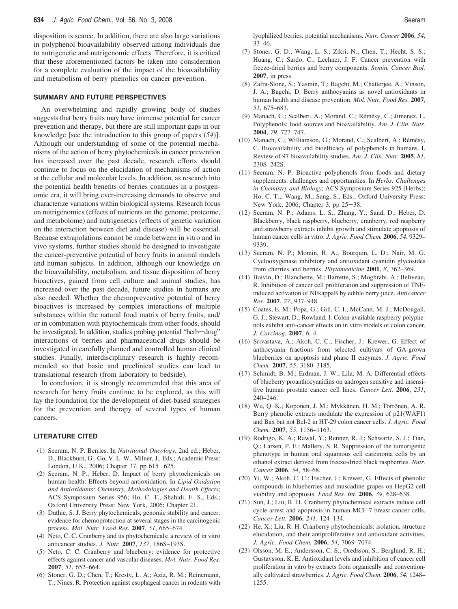disposition is scarce. In addition, there are also large variations in polyphenol bioavailability observed among individuals due to nutrigenetic and nutrigenomic effects. Therefore, it is critical that these aforementioned factors be taken into consideration for a complete evaluation of the impact of the bioavailability and metabolism of berry phenolics on cancer prevention.

### **SUMMARY AND FUTURE PERSPECTIVES**

An overwhelming and rapidly growing body of studies suggests that berry fruits may have immense potential for cancer prevention and therapy, but there are still important gaps in our knowledge [see the introduction to this group of papers (*54*)]. Although our understanding of some of the potential mechanisms of the action of berry phytochemicals in cancer prevention has increased over the past decade, research efforts should continue to focus on the elucidation of mechanisms of action at the cellular and molecular levels. In addition, as research into the potential health benefits of berries continues in a postgenomic era, it will bring ever-increasing demands to observe and characterize variations within biological systems. Research focus on nutrigenomics (effects of nutrients on the genome, proteome, and metabolome) and nutrigenetics (effects of genetic variation on the interaction between diet and disease) will be essential. Because extrapolations cannot be made between in vitro and in vivo systems, further studies should be designed to investigate the cancer-preventive potential of berry fruits in animal models and human subjects. In addition, although our knowledge on the bioavailability, metabolism, and tissue disposition of berry bioactives, gained from cell culture and animal studies, has increased over the past decade, future studies in humans are also needed. Whether the chemopreventive potential of berry bioactives is increased by complex interactions of multiple substances within the natural food matrix of berry fruits, and/ or in combination with phytochemicals from other foods, should be investigated. In addition, studies probing potential "herb-drug" interactions of berries and pharmaceutical drugs should be investigated in carefully planned and controlled human clinical studies. Finally, interdisciplinary research is highly recommended so that basic and preclinical studies can lead to translational research (from laboratory to bedside).

In conclusion, it is strongly recommended that this area of research for berry fruits continue to be explored, as this will lay the foundation for the development of diet-based strategies for the prevention and therapy of several types of human cancers.

### **LITERATURE CITED**

- (1) Seeram, N. P. Berries. In *Nutritional Oncology*, 2nd ed.; Heber, D., Blackburn, G., Go, V. L. W., Milner, J., Eds.; Academic Press: London, U.K., 2006; Chapter 37, pp 615-625.
- (2) Seeram, N. P.; Heber, D. Impact of berry phytochemicals on human health: Effects beyond antioxidation. In *Lipid Oxidation and Antioxidants: Chemistry, Methodologies and Health Effects*; ACS Symposium Series 956; Ho, C. T., Shahidi, F. S., Eds.; Oxford University Press: New York, 2006; Chapter 21.
- (3) Duthie, S. J. Berry phytochemicals, genomic stability and cancer: evidence for chemoprotection at several stages in the carcinogenic process. *Mol. Nutr. Food Res.* **2007**, *51*, 665–674.
- (4) Neto, C. C. Cranberry and its phytochemicals: a review of in vitro anticancer studies. *J. Nutr.* **2007**, *137*, 186S–193S.
- (5) Neto, C. C. Cranberry and blueberry: evidence for protective effects against cancer and vascular diseases. *Mol. Nutr. Food Res.* **2007**, *51*, 652–664.
- (6) Stoner, G. D.; Chen, T.; Kresty, L. A.; Aziz, R. M.; Reinemann, T.; Nines, R. Protection against esophageal cancer in rodents with

lyophilized berries: potential mechanisms. *Nutr. Cancer* **2006**, *54*, 33–46.

- (7) Stoner, G. D.; Wang, L. S.; Zikri, N.; Chen, T.; Hecht, S. S.; Huang, C.; Sardo, C.; Lechner, J. F. Cancer prevention with freeze-dried berries and berry components. *Semin. Cancer Biol.* **2007**, in press.
- (8) Zafra-Stone, S.; Yasmin, T,; Bagchi, M.; Chatterjee, A.; Vinson, J. A.; Bagchi, D. Berry anthocyanins as novel antioxidants in human health and disease prevention. *Mol. Nutr. Food Res.* **2007**, *51*, 675–683.
- (9) Manach, C.; Scalbert, A.; Morand, C.; Rémésy, C.; Jimenez, L. Polyphenols: food sources and bioavailability. *Am. J. Clin. Nutr.* **2004**, *79*, 727–747.
- (10) Manach, C.; Williamson, G.; Morand, C.; Scalbert, A.; Rémésy, C. Bioavailability and bioefficacy of polyphenols in humans. I. Review of 97 bioavailability studies. *Am. J. Clin. Nutr.* **2005**, *81*, 230S–242S.
- (11) Seeram, N. P. Bioactive polyphenols from foods and dietary supplements: challenges and opportunities. In *Herbs: Challenges in Chemistry and Biology*; ACS Symposium Series 925 (Herbs); Ho, C. T.;, Wang, M., Sang, S., Eds.; Oxford University Press: New York, 2006; Chapter 3, pp 25-38.
- (12) Seeram, N. P.; Adams, L. S.; Zhang, Y.; Sand, D.; Heber, D. Blackberry, black raspberry, blueberry, cranberry, red raspberry and strawberry extracts inhibit growth and stimulate apoptosis of human cancer cells in vitro. *J. Agric. Food Chem.* **2006**, *54*, 9329– 9339.
- (13) Seeram, N. P.; Momin, R. A.; Bourquin, L. D.; Nair, M. G. Cyclooxygenase inhibitory and antioxidant cyanidin glycosides from cherries and berries. *Phytomedicine* **2001**, *8*, 362–369.
- (14) Boivin, D.; Blanchette, M.; Barrette, S.; Moghrabi, A.; Beliveau, R. Inhibition of cancer cell proliferation and suppression of TNFinduced activation of NFkappaB by edible berry juice. *Anticancer Res.* **2007**, *27*, 937–948.
- (15) Coates, E. M.; Popa, G.; Gill, C. I.; McCann, M. J.; McDougall, G. J.; Stewart, D.; Rowland, I. Colon-available raspberry polyphenols exhibit anti-cancer effects on in vitro models of colon cancer. *J. Carcinog.* **2007**, *6*, 4.
- (16) Srivastava, A.; Akoh, C. C.; Fischer, J.; Krewer, G. Effect of anthocyanin fractions from selected cultivars of GA-grown blueberries on apoptosis and phase II enzymes. *J. Agric. Food Chem.* **2007**, *55*, 3180–3185.
- (17) Schmidt, B. M.; Erdman, J. W.; Lila, M. A. Differential effects of blueberry proanthocyanidins on androgen sensitive and insensitive human prostate cancer cell lines. *Cancer Lett.* **2006**, *231*, 240–246.
- (18) Wu, Q. K.; Koponen, J. M.; Mykkänen, H. M.; Törrönen, A. R. Berry phenolic extracts modulate the expression of p21(WAF1) and Bax but not Bcl-2 in HT-29 colon cancer cells. *J. Agric. Food Chem.* **2007**, *55*, 1156–1163.
- (19) Rodrigo, K. A.; Rawal, Y.; Renner, R. J.; Schwartz, S. J.; Tian, Q.; Larsen, P. E.; Mallery, S. R. Suppression of the tumorigenic phenotype in human oral squamous cell carcinoma cells by an ethanol extract derived from freeze-dried black raspberries. *Nutr. Cancer* **2006**, *54*, 58–68.
- (20) Yi, W.; Akoh, C. C.; Fischer, J.; Krewer, G. Effects of phenolic compounds in blueberries and muscadine grapes on HepG2 cell viability and apoptosis. *Food Res. Int.* **2006**, *39*, 628–638.
- (21) Sun, J.; Liu, R. H. Cranberry phytochemical extracts induce cell cycle arrest and apoptosis in human MCF-7 breast cancer cells. *Cancer Lett.* **2006**, *241*, 124–134.
- (22) He, X.; Liu, R. H. Cranberry phytochemicals: isolation, structure elucidation, and their antiproliferative and antioxidant activities. *J. Agric. Food Chem.* **2006**, *54*, 7069–7074.
- (23) Olsson, M. E.; Andersson, C. S.; Oredsson, S.; Berglund, R. H.; Gustavsson, K. E. Antioxidant levels and inhibition of cancer cell proliferation in vitro by extracts from organically and conventionally cultivated strawberries. *J. Agric. Food Chem.* **2006**, *54*, 1248– 1255.